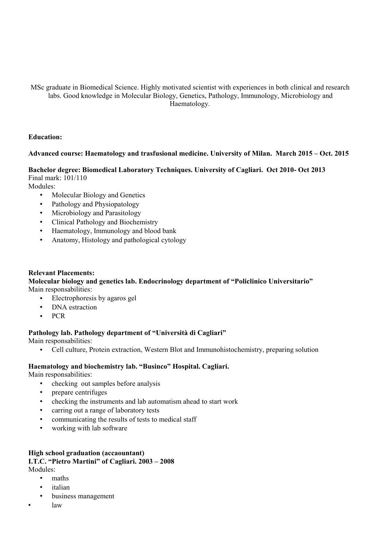#### MSc graduate in Biomedical Science. Highly motivated scientist with experiences in both clinical and research labs. Good knowledge in Molecular Biology, Genetics, Pathology, Immunology, Microbiology and Haematology.

#### **Education:**

## **Advanced course: Haematology and trasfusional medicine. University of Milan. March 2015 – Oct. 2015**

**Bachelor degree: Biomedical Laboratory Techniques. University of Cagliari. Oct 2010- Oct 2013** Final mark: 101/110

Modules:

- Molecular Biology and Genetics
- Pathology and Physiopatology
- Microbiology and Parasitology
- Clinical Pathology and Biochemistry
- Haematology, Immunology and blood bank
- Anatomy, Histology and pathological cytology

#### **Relevant Placements:**

**Molecular biology and genetics lab. Endocrinology department of "Policlinico Universitario"** Main responsabilities:

- Electrophoresis by agaros gel
- DNA estraction
- PCR

#### **Pathology lab. Pathology department of "Università di Cagliari"**

Main responsabilities:

• Cell culture, Protein extraction, Western Blot and Immunohistochemistry, preparing solution

## **Haematology and biochemistry lab. "Businco" Hospital. Cagliari.**

Main responsabilities:

- checking out samples before analysis
- prepare centrifuges
- checking the instruments and lab automatism ahead to start work
- carring out a range of laboratory tests
- communicating the results of tests to medical staff
- working with lab software

#### **High school graduation (accaountant) I.T.C. "Pietro Martini" of Cagliari. 2003 – 2008** Modules:

- maths
- italian
- business management
- law